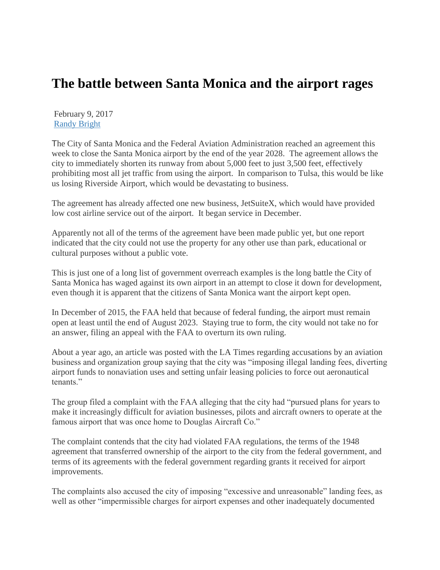## **The battle between Santa Monica and the airport rages**

February 9, 2017 [Randy Bright](http://tulsabeacon.com/author/randy-bright/)

The City of Santa Monica and the Federal Aviation Administration reached an agreement this week to close the Santa Monica airport by the end of the year 2028. The agreement allows the city to immediately shorten its runway from about 5,000 feet to just 3,500 feet, effectively prohibiting most all jet traffic from using the airport. In comparison to Tulsa, this would be like us losing Riverside Airport, which would be devastating to business.

The agreement has already affected one new business, JetSuiteX, which would have provided low cost airline service out of the airport. It began service in December.

Apparently not all of the terms of the agreement have been made public yet, but one report indicated that the city could not use the property for any other use than park, educational or cultural purposes without a public vote.

This is just one of a long list of government overreach examples is the long battle the City of Santa Monica has waged against its own airport in an attempt to close it down for development, even though it is apparent that the citizens of Santa Monica want the airport kept open.

In December of 2015, the FAA held that because of federal funding, the airport must remain open at least until the end of August 2023. Staying true to form, the city would not take no for an answer, filing an appeal with the FAA to overturn its own ruling.

About a year ago, an article was posted with the LA Times regarding accusations by an aviation business and organization group saying that the city was "imposing illegal landing fees, diverting airport funds to nonaviation uses and setting unfair leasing policies to force out aeronautical tenants."

The group filed a complaint with the FAA alleging that the city had "pursued plans for years to make it increasingly difficult for aviation businesses, pilots and aircraft owners to operate at the famous airport that was once home to Douglas Aircraft Co."

The complaint contends that the city had violated FAA regulations, the terms of the 1948 agreement that transferred ownership of the airport to the city from the federal government, and terms of its agreements with the federal government regarding grants it received for airport improvements.

The complaints also accused the city of imposing "excessive and unreasonable" landing fees, as well as other "impermissible charges for airport expenses and other inadequately documented